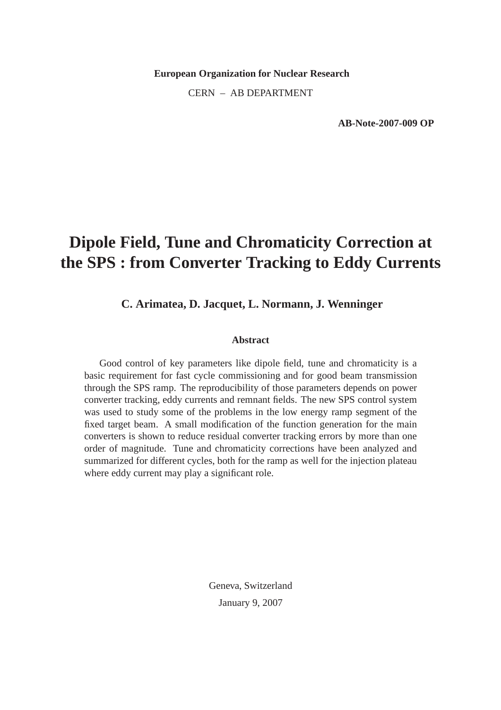**European Organization for Nuclear Research** CERN – AB DEPARTMENT

**AB-Note-2007-009 OP**

# **Dipole Field, Tune and Chromaticity Correction at the SPS : from Converter Tracking to Eddy Currents**

**C. Arimatea, D. Jacquet, L. Normann, J. Wenninger**

#### **Abstract**

Good control of key parameters like dipole field, tune and chromaticity is a basic requirement for fast cycle commissioning and for good beam transmission through the SPS ramp. The reproducibility of those parameters depends on power converter tracking, eddy currents and remnant fields. The new SPS control system was used to study some of the problems in the low energy ramp segment of the fixed target beam. A small modification of the function generation for the main converters is shown to reduce residual converter tracking errors by more than one order of magnitude. Tune and chromaticity corrections have been analyzed and summarized for different cycles, both for the ramp as well for the injection plateau where eddy current may play a significant role.

> Geneva, Switzerland January 9, 2007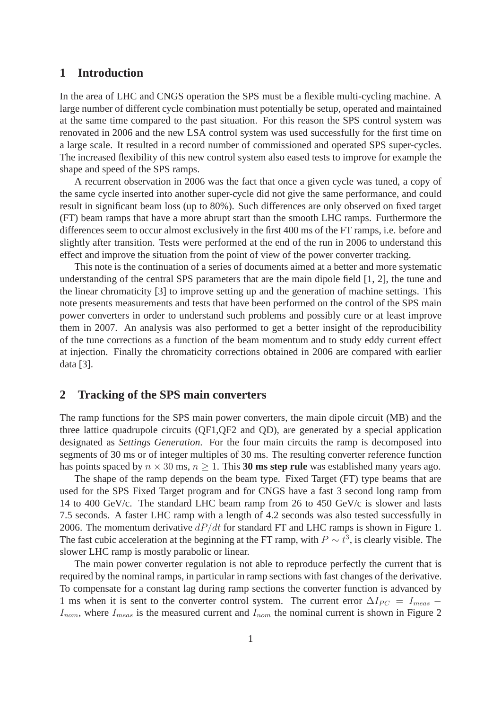### **1 Introduction**

In the area of LHC and CNGS operation the SPS must be a flexible multi-cycling machine. A large number of different cycle combination must potentially be setup, operated and maintained at the same time compared to the past situation. For this reason the SPS control system was renovated in 2006 and the new LSA control system was used successfully for the first time on a large scale. It resulted in a record number of commissioned and operated SPS super-cycles. The increased flexibility of this new control system also eased tests to improve for example the shape and speed of the SPS ramps.

A recurrent observation in 2006 was the fact that once a given cycle was tuned, a copy of the same cycle inserted into another super-cycle did not give the same performance, and could result in significant beam loss (up to 80%). Such differences are only observed on fixed target (FT) beam ramps that have a more abrupt start than the smooth LHC ramps. Furthermore the differences seem to occur almost exclusively in the first 400 ms of the FT ramps, i.e. before and slightly after transition. Tests were performed at the end of the run in 2006 to understand this effect and improve the situation from the point of view of the power converter tracking.

This note is the continuation of a series of documents aimed at a better and more systematic understanding of the central SPS parameters that are the main dipole field [1, 2], the tune and the linear chromaticity [3] to improve setting up and the generation of machine settings. This note presents measurements and tests that have been performed on the control of the SPS main power converters in order to understand such problems and possibly cure or at least improve them in 2007. An analysis was also performed to get a better insight of the reproducibility of the tune corrections as a function of the beam momentum and to study eddy current effect at injection. Finally the chromaticity corrections obtained in 2006 are compared with earlier data [3].

### **2 Tracking of the SPS main converters**

The ramp functions for the SPS main power converters, the main dipole circuit (MB) and the three lattice quadrupole circuits (QF1,QF2 and QD), are generated by a special application designated as *Settings Generation*. For the four main circuits the ramp is decomposed into segments of 30 ms or of integer multiples of 30 ms. The resulting converter reference function has points spaced by  $n \times 30$  ms,  $n \ge 1$ . This 30 ms step rule was established many years ago.

The shape of the ramp depends on the beam type. Fixed Target (FT) type beams that are used for the SPS Fixed Target program and for CNGS have a fast 3 second long ramp from 14 to 400 GeV/c. The standard LHC beam ramp from 26 to 450 GeV/c is slower and lasts 7.5 seconds. A faster LHC ramp with a length of 4.2 seconds was also tested successfully in 2006. The momentum derivative  $dP/dt$  for standard FT and LHC ramps is shown in Figure 1. The fast cubic acceleration at the beginning at the FT ramp, with  $P \sim t^3$ , is clearly visible. The slower LHC ramp is mostly parabolic or linear.

The main power converter regulation is not able to reproduce perfectly the current that is required by the nominal ramps, in particular in ramp sections with fast changes of the derivative. To compensate for a constant lag during ramp sections the converter function is advanced by 1 ms when it is sent to the converter control system. The current error  $\Delta I_{PC} = I_{meas}$  –  $I_{nom}$ , where  $I_{meas}$  is the measured current and  $I_{nom}$  the nominal current is shown in Figure 2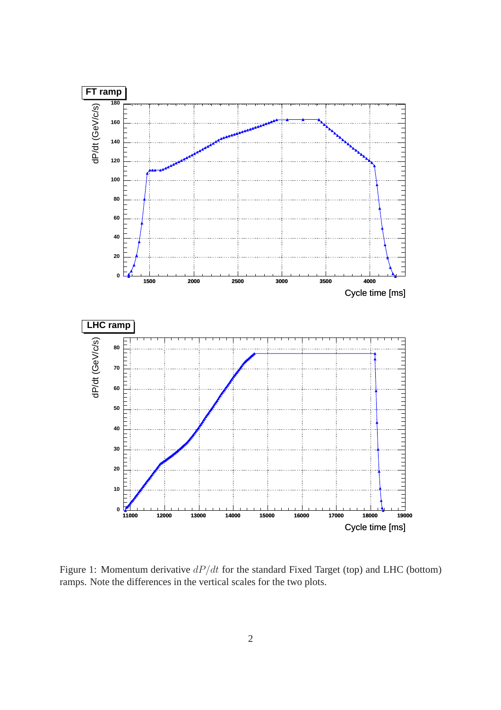

Figure 1: Momentum derivative  $dP/dt$  for the standard Fixed Target (top) and LHC (bottom) ramps. Note the differences in the vertical scales for the two plots.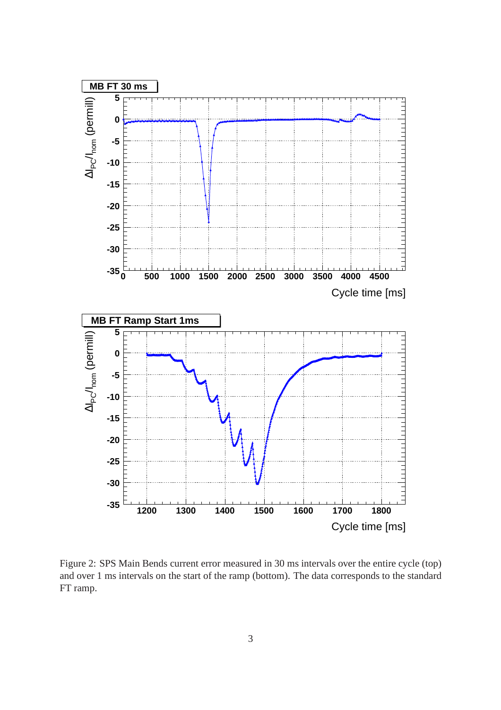

Figure 2: SPS Main Bends current error measured in 30 ms intervals over the entire cycle (top) and over 1 ms intervals on the start of the ramp (bottom). The data corresponds to the standard FT ramp.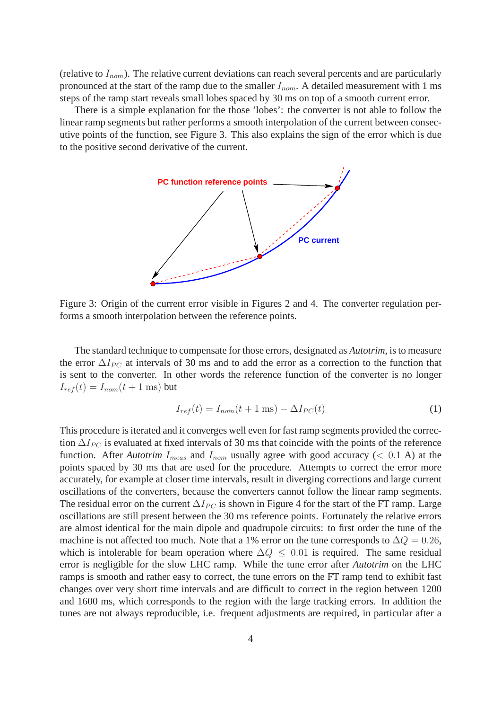(relative to  $I_{nom}$ ). The relative current deviations can reach several percents and are particularly pronounced at the start of the ramp due to the smaller  $I_{nom}$ . A detailed measurement with 1 ms steps of the ramp start reveals small lobes spaced by 30 ms on top of a smooth current error.

There is a simple explanation for the those 'lobes': the converter is not able to follow the linear ramp segments but rather performs a smooth interpolation of the current between consecutive points of the function, see Figure 3. This also explains the sign of the error which is due to the positive second derivative of the current.



Figure 3: Origin of the current error visible in Figures 2 and 4. The converter regulation performs a smooth interpolation between the reference points.

The standard technique to compensate for those errors, designated as *Autotrim*, is to measure the error  $\Delta I_{PC}$  at intervals of 30 ms and to add the error as a correction to the function that is sent to the converter. In other words the reference function of the converter is no longer  $I_{ref}(t) = I_{nom}(t + 1 \text{ ms})$  but

$$
I_{ref}(t) = I_{nom}(t + 1 \text{ ms}) - \Delta I_{PC}(t)
$$
\n(1)

This procedure is iterated and it converges well even for fast ramp segments provided the correction  $\Delta I_{PC}$  is evaluated at fixed intervals of 30 ms that coincide with the points of the reference function. After *Autotrim*  $I_{meas}$  and  $I_{nom}$  usually agree with good accuracy (< 0.1 A) at the points spaced by 30 ms that are used for the procedure. Attempts to correct the error more accurately, for example at closer time intervals, result in diverging corrections and large current oscillations of the converters, because the converters cannot follow the linear ramp segments. The residual error on the current  $\Delta I_{PC}$  is shown in Figure 4 for the start of the FT ramp. Large oscillations are still present between the 30 ms reference points. Fortunately the relative errors are almost identical for the main dipole and quadrupole circuits: to first order the tune of the machine is not affected too much. Note that a 1% error on the tune corresponds to  $\Delta Q = 0.26$ , which is intolerable for beam operation where  $\Delta Q \leq 0.01$  is required. The same residual error is negligible for the slow LHC ramp. While the tune error after *Autotrim* on the LHC ramps is smooth and rather easy to correct, the tune errors on the FT ramp tend to exhibit fast changes over very short time intervals and are difficult to correct in the region between 1200 and 1600 ms, which corresponds to the region with the large tracking errors. In addition the tunes are not always reproducible, i.e. frequent adjustments are required, in particular after a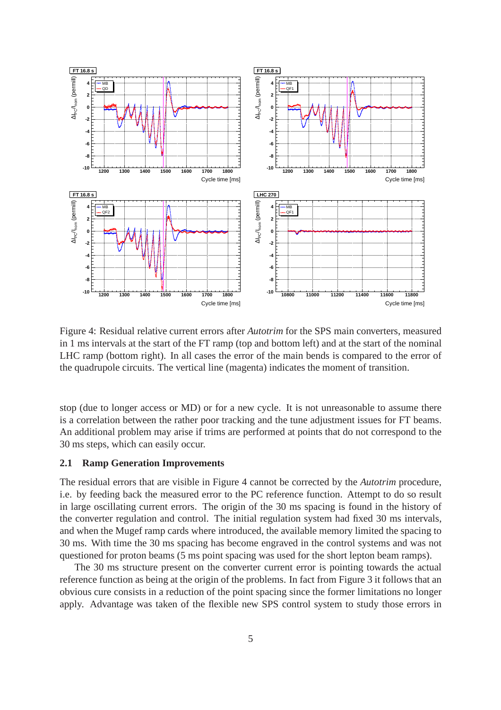

Figure 4: Residual relative current errors after *Autotrim* for the SPS main converters, measured in 1 ms intervals at the start of the FT ramp (top and bottom left) and at the start of the nominal LHC ramp (bottom right). In all cases the error of the main bends is compared to the error of the quadrupole circuits. The vertical line (magenta) indicates the moment of transition.

stop (due to longer access or MD) or for a new cycle. It is not unreasonable to assume there is a correlation between the rather poor tracking and the tune adjustment issues for FT beams. An additional problem may arise if trims are performed at points that do not correspond to the 30 ms steps, which can easily occur.

#### **2.1 Ramp Generation Improvements**

The residual errors that are visible in Figure 4 cannot be corrected by the *Autotrim* procedure, i.e. by feeding back the measured error to the PC reference function. Attempt to do so result in large oscillating current errors. The origin of the 30 ms spacing is found in the history of the converter regulation and control. The initial regulation system had fixed 30 ms intervals, and when the Mugef ramp cards where introduced, the available memory limited the spacing to 30 ms. With time the 30 ms spacing has become engraved in the control systems and was not questioned for proton beams (5 ms point spacing was used for the short lepton beam ramps).

The 30 ms structure present on the converter current error is pointing towards the actual reference function as being at the origin of the problems. In fact from Figure 3 it follows that an obvious cure consists in a reduction of the point spacing since the former limitations no longer apply. Advantage was taken of the flexible new SPS control system to study those errors in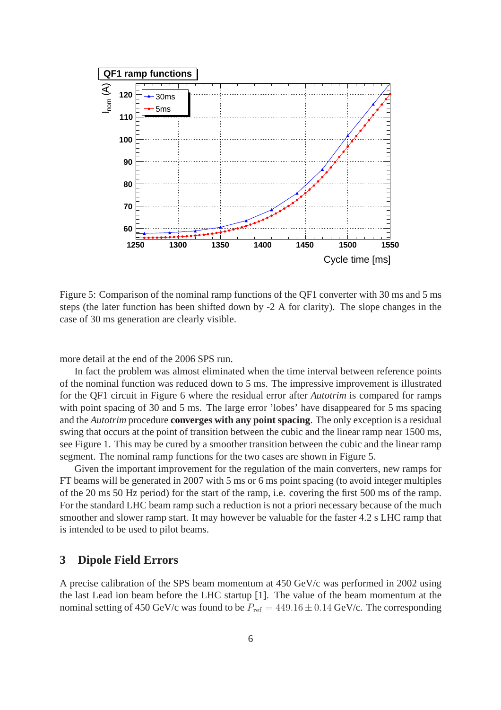

Figure 5: Comparison of the nominal ramp functions of the QF1 converter with 30 ms and 5 ms steps (the later function has been shifted down by -2 A for clarity). The slope changes in the case of 30 ms generation are clearly visible.

more detail at the end of the 2006 SPS run.

In fact the problem was almost eliminated when the time interval between reference points of the nominal function was reduced down to 5 ms. The impressive improvement is illustrated for the QF1 circuit in Figure 6 where the residual error after *Autotrim* is compared for ramps with point spacing of 30 and 5 ms. The large error 'lobes' have disappeared for 5 ms spacing and the *Autotrim* procedure **converges with any point spacing**. The only exception is a residual swing that occurs at the point of transition between the cubic and the linear ramp near 1500 ms, see Figure 1. This may be cured by a smoother transition between the cubic and the linear ramp segment. The nominal ramp functions for the two cases are shown in Figure 5.

Given the important improvement for the regulation of the main converters, new ramps for FT beams will be generated in 2007 with 5 ms or 6 ms point spacing (to avoid integer multiples of the 20 ms 50 Hz period) for the start of the ramp, i.e. covering the first 500 ms of the ramp. For the standard LHC beam ramp such a reduction is not a priori necessary because of the much smoother and slower ramp start. It may however be valuable for the faster 4.2 s LHC ramp that is intended to be used to pilot beams.

## **3 Dipole Field Errors**

A precise calibration of the SPS beam momentum at 450 GeV/c was performed in 2002 using the last Lead ion beam before the LHC startup [1]. The value of the beam momentum at the nominal setting of 450 GeV/c was found to be  $P_{ref} = 449.16 \pm 0.14$  GeV/c. The corresponding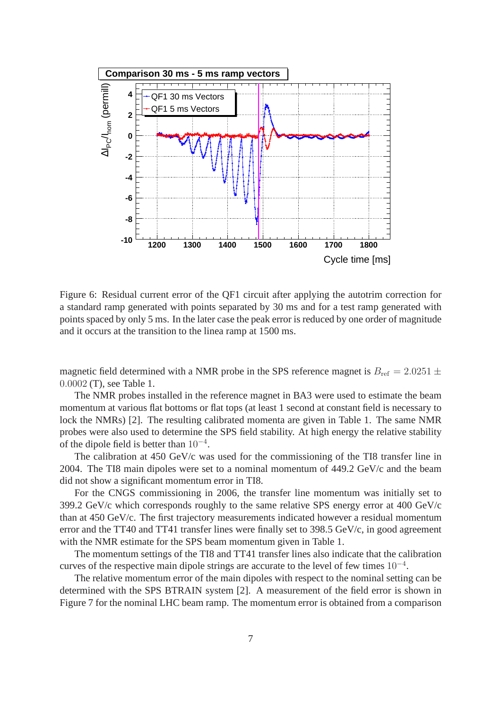

Figure 6: Residual current error of the QF1 circuit after applying the autotrim correction for a standard ramp generated with points separated by 30 ms and for a test ramp generated with points spaced by only 5 ms. In the later case the peak error is reduced by one order of magnitude and it occurs at the transition to the linea ramp at 1500 ms.

magnetic field determined with a NMR probe in the SPS reference magnet is  $B_{\text{ref}} = 2.0251 \pm$ 0.0002 (T), see Table 1.

The NMR probes installed in the reference magnet in BA3 were used to estimate the beam momentum at various flat bottoms or flat tops (at least 1 second at constant field is necessary to lock the NMRs) [2]. The resulting calibrated momenta are given in Table 1. The same NMR probes were also used to determine the SPS field stability. At high energy the relative stability of the dipole field is better than  $10^{-4}$ .

The calibration at 450 GeV/c was used for the commissioning of the TI8 transfer line in 2004. The TI8 main dipoles were set to a nominal momentum of 449.2 GeV/c and the beam did not show a significant momentum error in TI8.

For the CNGS commissioning in 2006, the transfer line momentum was initially set to 399.2 GeV/c which corresponds roughly to the same relative SPS energy error at 400 GeV/c than at 450 GeV/c. The first trajectory measurements indicated however a residual momentum error and the TT40 and TT41 transfer lines were finally set to 398.5 GeV/c, in good agreement with the NMR estimate for the SPS beam momentum given in Table 1.

The momentum settings of the TI8 and TT41 transfer lines also indicate that the calibration curves of the respective main dipole strings are accurate to the level of few times  $10^{-4}$ .

The relative momentum error of the main dipoles with respect to the nominal setting can be determined with the SPS BTRAIN system [2]. A measurement of the field error is shown in Figure 7 for the nominal LHC beam ramp. The momentum error is obtained from a comparison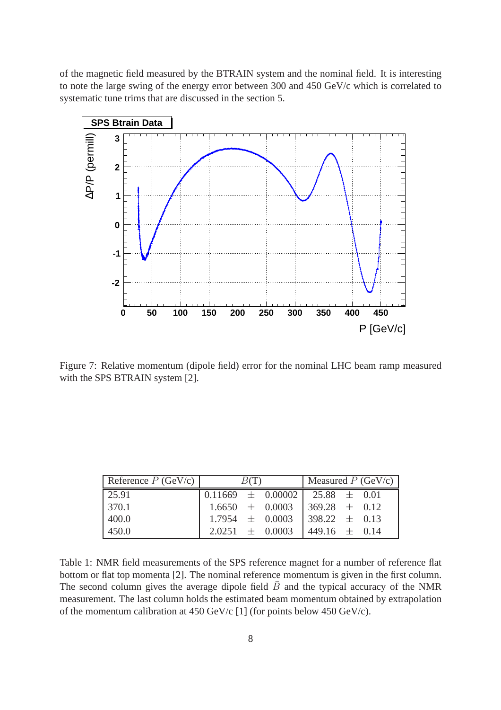of the magnetic field measured by the BTRAIN system and the nominal field. It is interesting to note the large swing of the energy error between 300 and 450 GeV/c which is correlated to systematic tune trims that are discussed in the section 5.



Figure 7: Relative momentum (dipole field) error for the nominal LHC beam ramp measured with the SPS BTRAIN system [2].

| Reference $P$ (GeV/c) | B(T) |  |                                       | Measured $P$ (GeV/c) |  |  |
|-----------------------|------|--|---------------------------------------|----------------------|--|--|
| 25.91                 |      |  |                                       |                      |  |  |
| 370.1                 |      |  | $1.6650 \pm 0.0003$ 369.28 $\pm$ 0.12 |                      |  |  |
| 400.0                 |      |  | $1.7954 \pm 0.0003$ 398.22 $\pm$ 0.13 |                      |  |  |
| 450.0                 |      |  | $2.0251 \pm 0.0003$                   | $1449.16 \pm 0.14$   |  |  |

Table 1: NMR field measurements of the SPS reference magnet for a number of reference flat bottom or flat top momenta [2]. The nominal reference momentum is given in the first column. The second column gives the average dipole field  $\bar{B}$  and the typical accuracy of the NMR measurement. The last column holds the estimated beam momentum obtained by extrapolation of the momentum calibration at 450 GeV/c [1] (for points below 450 GeV/c).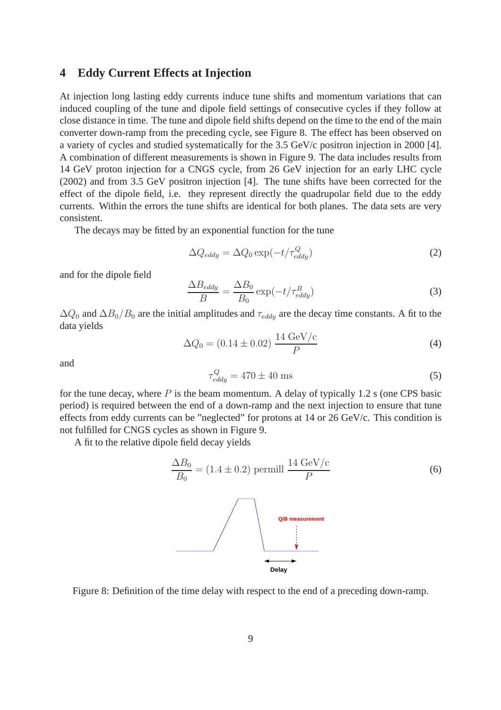#### **4 Eddy Current Effects at Injection**

At injection long lasting eddy currents induce tune shifts and momentum variations that can induced coupling of the tune and dipole field settings of consecutive cycles if they follow at close distance in time. The tune and dipole field shifts depend on the time to the end of the main converter down-ramp from the preceding cycle, see Figure 8. The effect has been observed on a variety of cycles and studied systematically for the 3.5 GeV/c positron injection in 2000 [4]. A combination of different measurements is shown in Figure 9. The data includes results from 14 GeV proton injection for a CNGS cycle, from 26 GeV injection for an early LHC cycle (2002) and from 3.5 GeV positron injection [4]. The tune shifts have been corrected for the effect of the dipole field, i.e. they represent directly the quadrupolar field due to the eddy currents. Within the errors the tune shifts are identical for both planes. The data sets are very consistent.

The decays may be fitted by an exponential function for the tune

$$
\Delta Q_{eddy} = \Delta Q_0 \exp(-t/\tau_{eddy}^Q)
$$
\n(2)

and for the dipole field

$$
\frac{\Delta B_{eddy}}{B} = \frac{\Delta B_0}{B_0} \exp(-t/\tau_{eddy}^B)
$$
\n(3)

 $\Delta Q_0$  and  $\Delta B_0/B_0$  are the initial amplitudes and  $\tau_{eddy}$  are the decay time constants. A fit to the data yields

$$
\Delta Q_0 = (0.14 \pm 0.02) \frac{14 \text{ GeV/c}}{P}
$$
 (4)

and

$$
\tau_{eddy}^Q = 470 \pm 40 \text{ ms} \tag{5}
$$

for the tune decay, where  $P$  is the beam momentum. A delay of typically 1.2 s (one CPS basic period) is required between the end of a down-ramp and the next injection to ensure that tune effects from eddy currents can be "neglected" for protons at 14 or 26 GeV/c. This condition is not fulfilled for CNGS cycles as shown in Figure 9.

A fit to the relative dipole field decay yields

$$
\frac{\Delta B_0}{B_0} = (1.4 \pm 0.2) \text{ permill } \frac{14 \text{ GeV/c}}{P}
$$
 (6)

Figure 8: Definition of the time delay with respect to the end of a preceding down-ramp.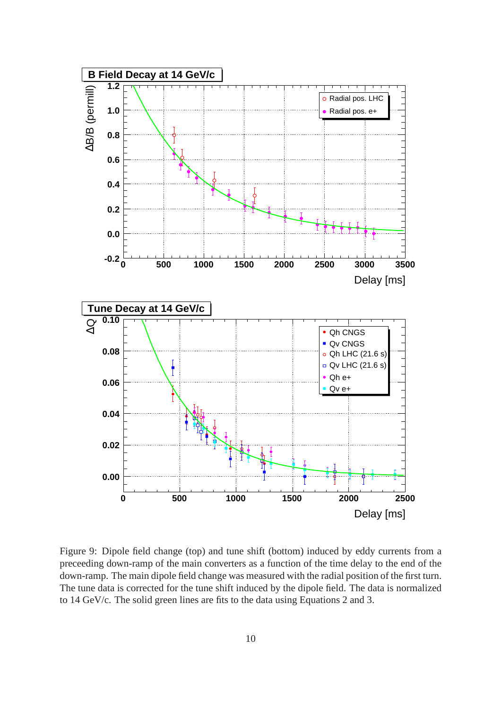

Figure 9: Dipole field change (top) and tune shift (bottom) induced by eddy currents from a preceeding down-ramp of the main converters as a function of the time delay to the end of the down-ramp. The main dipole field change was measured with the radial position of the first turn. The tune data is corrected for the tune shift induced by the dipole field. The data is normalized to 14 GeV/c. The solid green lines are fits to the data using Equations 2 and 3.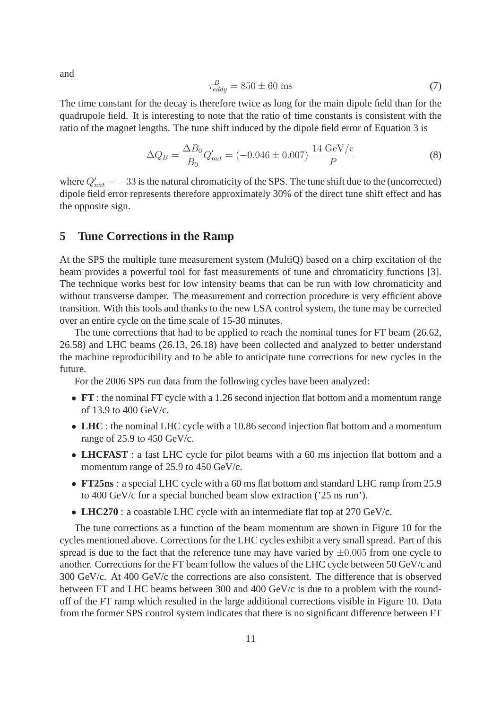and

$$
\tau_{eddy}^B = 850 \pm 60 \text{ ms} \tag{7}
$$

The time constant for the decay is therefore twice as long for the main dipole field than for the quadrupole field. It is interesting to note that the ratio of time constants is consistent with the ratio of the magnet lengths. The tune shift induced by the dipole field error of Equation 3 is

$$
\Delta Q_B = \frac{\Delta B_0}{B_0} Q'_{nat} = (-0.046 \pm 0.007) \frac{14 \text{ GeV/c}}{P}
$$
 (8)

where  $Q'_{nat} = -33$  is the natural chromaticity of the SPS. The tune shift due to the (uncorrected) dipole field error represents therefore approximately 30% of the direct tune shift effect and has the opposite sign.

## **5 Tune Corrections in the Ramp**

At the SPS the multiple tune measurement system (MultiQ) based on a chirp excitation of the beam provides a powerful tool for fast measurements of tune and chromaticity functions [3]. The technique works best for low intensity beams that can be run with low chromaticity and without transverse damper. The measurement and correction procedure is very efficient above transition. With this tools and thanks to the new LSA control system, the tune may be corrected over an entire cycle on the time scale of 15-30 minutes.

The tune corrections that had to be applied to reach the nominal tunes for FT beam (26.62, 26.58) and LHC beams (26.13, 26.18) have been collected and analyzed to better understand the machine reproducibility and to be able to anticipate tune corrections for new cycles in the future.

For the 2006 SPS run data from the following cycles have been analyzed:

- **FT** : the nominal FT cycle with a 1.26 second injection flat bottom and a momentum range of 13.9 to 400 GeV/c.
- **LHC** : the nominal LHC cycle with a 10.86 second injection flat bottom and a momentum range of 25.9 to 450 GeV/c.
- **LHCFAST**: a fast LHC cycle for pilot beams with a 60 ms injection flat bottom and a momentum range of 25.9 to 450 GeV/c.
- **FT25ns** : a special LHC cycle with a 60 ms flat bottom and standard LHC ramp from 25.9 to 400 GeV/c for a special bunched beam slow extraction ('25 ns run').
- **LHC270** : a coastable LHC cycle with an intermediate flat top at 270 GeV/c.

The tune corrections as a function of the beam momentum are shown in Figure 10 for the cycles mentioned above. Corrections for the LHC cycles exhibit a very small spread. Part of this spread is due to the fact that the reference tune may have varied by  $\pm 0.005$  from one cycle to another. Corrections for the FT beam follow the values of the LHC cycle between 50 GeV/c and 300 GeV/c. At 400 GeV/c the corrections are also consistent. The difference that is observed between FT and LHC beams between 300 and 400 GeV/c is due to a problem with the roundoff of the FT ramp which resulted in the large additional corrections visible in Figure 10. Data from the former SPS control system indicates that there is no significant difference between FT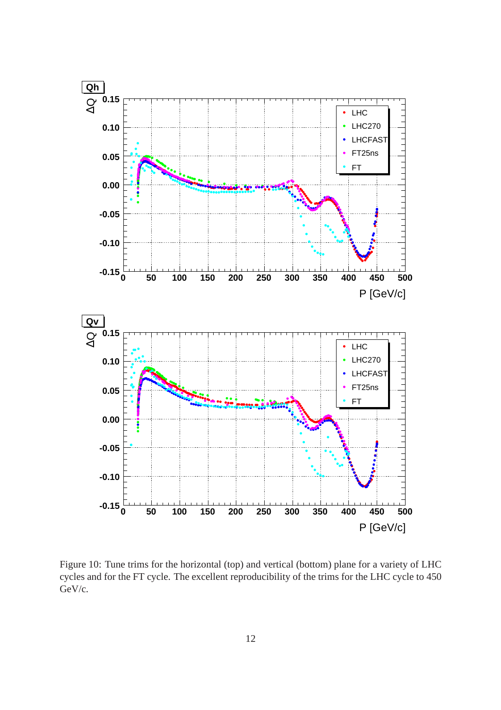

Figure 10: Tune trims for the horizontal (top) and vertical (bottom) plane for a variety of LHC cycles and for the FT cycle. The excellent reproducibility of the trims for the LHC cycle to 450 GeV/c.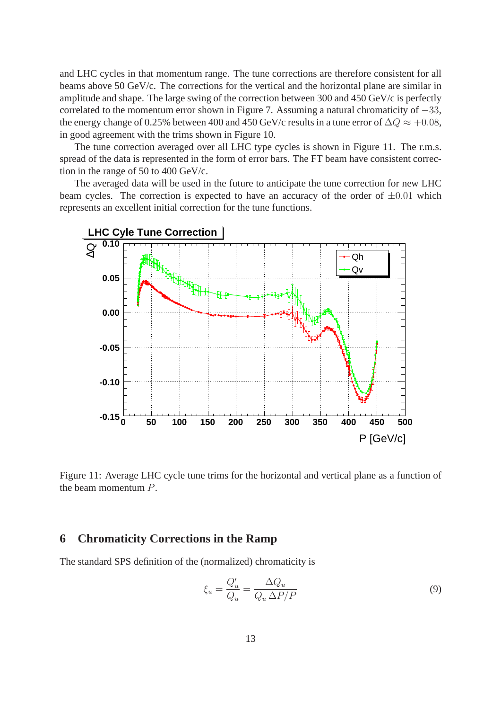and LHC cycles in that momentum range. The tune corrections are therefore consistent for all beams above 50 GeV/c. The corrections for the vertical and the horizontal plane are similar in amplitude and shape. The large swing of the correction between 300 and 450 GeV/c is perfectly correlated to the momentum error shown in Figure 7. Assuming a natural chromaticity of −33, the energy change of 0.25% between 400 and 450 GeV/c results in a tune error of  $\Delta Q \approx +0.08$ , in good agreement with the trims shown in Figure 10.

The tune correction averaged over all LHC type cycles is shown in Figure 11. The r.m.s. spread of the data is represented in the form of error bars. The FT beam have consistent correction in the range of 50 to 400 GeV/c.

The averaged data will be used in the future to anticipate the tune correction for new LHC beam cycles. The correction is expected to have an accuracy of the order of  $\pm 0.01$  which represents an excellent initial correction for the tune functions.



Figure 11: Average LHC cycle tune trims for the horizontal and vertical plane as a function of the beam momentum P.

### **6 Chromaticity Corrections in the Ramp**

The standard SPS definition of the (normalized) chromaticity is

$$
\xi_u = \frac{Q'_u}{Q_u} = \frac{\Delta Q_u}{Q_u \Delta P / P} \tag{9}
$$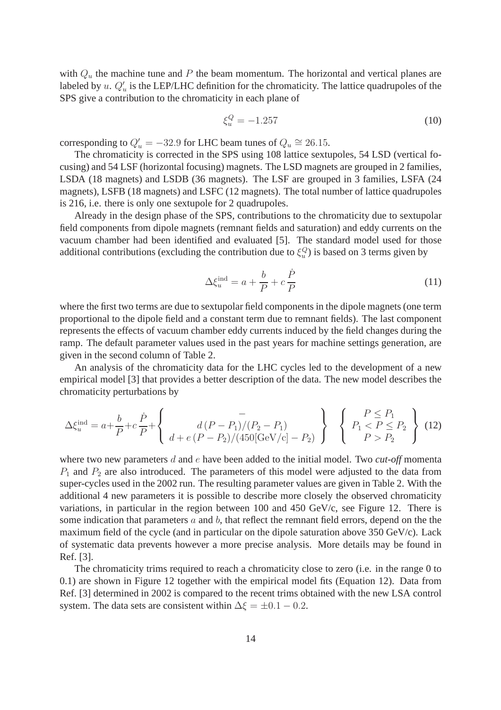with  $Q_u$  the machine tune and P the beam momentum. The horizontal and vertical planes are labeled by u.  $Q'_u$  is the LEP/LHC definition for the chromaticity. The lattice quadrupoles of the SPS give a contribution to the chromaticity in each plane of

$$
\xi_u^Q = -1.257\tag{10}
$$

corresponding to  $Q'_u = -32.9$  for LHC beam tunes of  $Q_u \cong 26.15$ .

The chromaticity is corrected in the SPS using 108 lattice sextupoles, 54 LSD (vertical focusing) and 54 LSF (horizontal focusing) magnets. The LSD magnets are grouped in 2 families, LSDA (18 magnets) and LSDB (36 magnets). The LSF are grouped in 3 families, LSFA (24 magnets), LSFB (18 magnets) and LSFC (12 magnets). The total number of lattice quadrupoles is 216, i.e. there is only one sextupole for 2 quadrupoles.

Already in the design phase of the SPS, contributions to the chromaticity due to sextupolar field components from dipole magnets (remnant fields and saturation) and eddy currents on the vacuum chamber had been identified and evaluated [5]. The standard model used for those additional contributions (excluding the contribution due to  $\xi_u^Q$ ) is based on 3 terms given by

$$
\Delta \xi_u^{\text{ind}} = a + \frac{b}{P} + c \frac{\dot{P}}{P}
$$
\n(11)

where the first two terms are due to sextupolar field components in the dipole magnets (one term proportional to the dipole field and a constant term due to remnant fields). The last component represents the effects of vacuum chamber eddy currents induced by the field changes during the ramp. The default parameter values used in the past years for machine settings generation, are given in the second column of Table 2.

An analysis of the chromaticity data for the LHC cycles led to the development of a new empirical model [3] that provides a better description of the data. The new model describes the chromaticity perturbations by

$$
\Delta \xi_u^{\text{ind}} = a + \frac{b}{P} + c \frac{\dot{P}}{P} + \left\{ \begin{array}{c} - \\ d\left(P - P_1\right) / \left(P_2 - P_1\right) \\ d + e\left(P - P_2\right) / \left(450 \left[\text{GeV}/c\right] - P_2\right) \end{array} \right\} \left\{ \begin{array}{c} P \leq P_1 \\ P_1 < P \leq P_2 \\ P > P_2 \end{array} \right\} \tag{12}
$$

where two new parameters d and e have been added to the initial model. Two *cut-off* momenta  $P_1$  and  $P_2$  are also introduced. The parameters of this model were adjusted to the data from super-cycles used in the 2002 run. The resulting parameter values are given in Table 2. With the additional 4 new parameters it is possible to describe more closely the observed chromaticity variations, in particular in the region between 100 and 450 GeV/c, see Figure 12. There is some indication that parameters  $a$  and  $b$ , that reflect the remnant field errors, depend on the the maximum field of the cycle (and in particular on the dipole saturation above 350 GeV/c). Lack of systematic data prevents however a more precise analysis. More details may be found in Ref. [3].

The chromaticity trims required to reach a chromaticity close to zero (i.e. in the range 0 to 0.1) are shown in Figure 12 together with the empirical model fits (Equation 12). Data from Ref. [3] determined in 2002 is compared to the recent trims obtained with the new LSA control system. The data sets are consistent within  $\Delta \xi = \pm 0.1 - 0.2$ .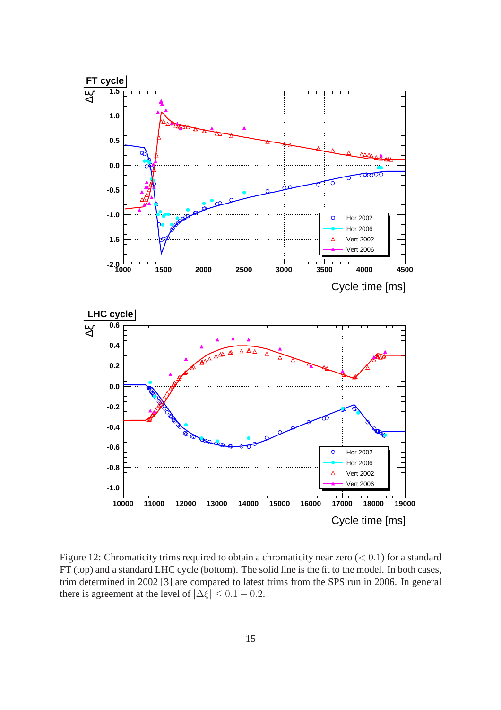

Figure 12: Chromaticity trims required to obtain a chromaticity near zero  $(< 0.1)$  for a standard FT (top) and a standard LHC cycle (bottom). The solid line is the fit to the model. In both cases, trim determined in 2002 [3] are compared to latest trims from the SPS run in 2006. In general there is agreement at the level of  $|\Delta \xi| \leq 0.1 - 0.2$ .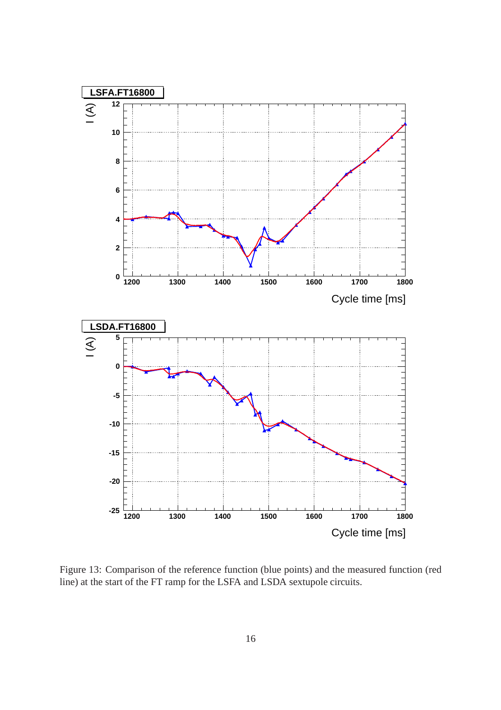

Figure 13: Comparison of the reference function (blue points) and the measured function (red line) at the start of the FT ramp for the LSFA and LSDA sextupole circuits.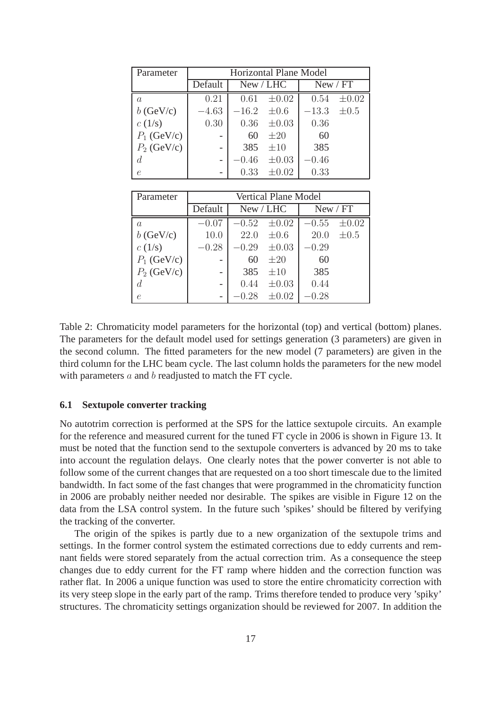| Parameter     | <b>Horizontal Plane Model</b> |                 |            |                 |            |  |  |
|---------------|-------------------------------|-----------------|------------|-----------------|------------|--|--|
|               | Default                       |                 | New / LHC  | New / FT        |            |  |  |
| a             | 0.21                          | 0.61            | $\pm 0.02$ | 0.54            | $\pm 0.02$ |  |  |
| $b$ (GeV/c)   | $-4.63$                       | $-16.2 \pm 0.6$ |            | $-13.3 \pm 0.5$ |            |  |  |
| c(1/s)        | 0.30                          | 0.36            | $\pm 0.03$ | 0.36            |            |  |  |
| $P_1$ (GeV/c) |                               | 60              | $\pm 20$   | 60              |            |  |  |
| $P_2$ (GeV/c) | $\overline{\phantom{0}}$      | 385             | $\pm 10$   | 385             |            |  |  |
|               | -                             | $-0.46$         | $\pm 0.03$ | $-0.46$         |            |  |  |
| e             | $\overline{\phantom{0}}$      | 0.33            | $\pm 0.02$ | 0.33            |            |  |  |

| Parameter     | Vertical Plane Model |           |            |          |            |  |  |
|---------------|----------------------|-----------|------------|----------|------------|--|--|
|               | Default              | New / LHC |            | New / FT |            |  |  |
| $\it a$       | $-0.07$              | $-0.52$   | $\pm 0.02$ | $-0.55$  | $\pm 0.02$ |  |  |
| $b$ (GeV/c)   | 10.0                 | 22.0      | $\pm 0.6$  | 20.0     | $\pm 0.5$  |  |  |
| c(1/s)        | $-0.28$              | $-0.29$   | $\pm 0.03$ | $-0.29$  |            |  |  |
| $P_1$ (GeV/c) | $\overline{a}$       | 60        | $\pm 20$   | 60       |            |  |  |
| $P_2$ (GeV/c) |                      | 385       | $\pm 10$   | 385      |            |  |  |
| d             | $\overline{a}$       | 0.44      | $\pm 0.03$ | 0.44     |            |  |  |
| $\epsilon$    |                      |           | $\pm 0.02$ | $-0.28$  |            |  |  |

Table 2: Chromaticity model parameters for the horizontal (top) and vertical (bottom) planes. The parameters for the default model used for settings generation (3 parameters) are given in the second column. The fitted parameters for the new model (7 parameters) are given in the third column for the LHC beam cycle. The last column holds the parameters for the new model with parameters  $a$  and  $b$  readjusted to match the FT cycle.

#### **6.1 Sextupole converter tracking**

No autotrim correction is performed at the SPS for the lattice sextupole circuits. An example for the reference and measured current for the tuned FT cycle in 2006 is shown in Figure 13. It must be noted that the function send to the sextupole converters is advanced by 20 ms to take into account the regulation delays. One clearly notes that the power converter is not able to follow some of the current changes that are requested on a too short timescale due to the limited bandwidth. In fact some of the fast changes that were programmed in the chromaticity function in 2006 are probably neither needed nor desirable. The spikes are visible in Figure 12 on the data from the LSA control system. In the future such 'spikes' should be filtered by verifying the tracking of the converter.

The origin of the spikes is partly due to a new organization of the sextupole trims and settings. In the former control system the estimated corrections due to eddy currents and remnant fields were stored separately from the actual correction trim. As a consequence the steep changes due to eddy current for the FT ramp where hidden and the correction function was rather flat. In 2006 a unique function was used to store the entire chromaticity correction with its very steep slope in the early part of the ramp. Trims therefore tended to produce very 'spiky' structures. The chromaticity settings organization should be reviewed for 2007. In addition the